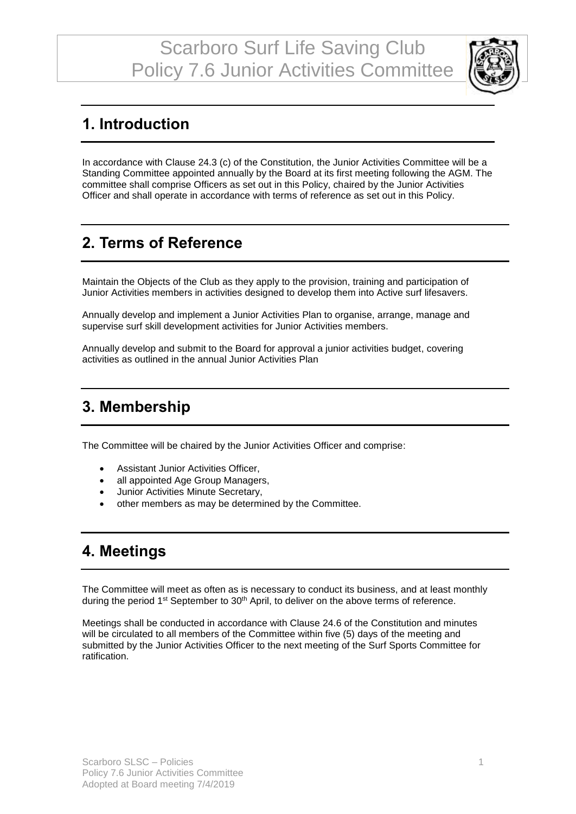

# **1. Introduction**

In accordance with Clause 24.3 (c) of the Constitution, the Junior Activities Committee will be a Standing Committee appointed annually by the Board at its first meeting following the AGM. The committee shall comprise Officers as set out in this Policy, chaired by the Junior Activities Officer and shall operate in accordance with terms of reference as set out in this Policy.

# **2. Terms of Reference**

Maintain the Objects of the Club as they apply to the provision, training and participation of Junior Activities members in activities designed to develop them into Active surf lifesavers.

Annually develop and implement a Junior Activities Plan to organise, arrange, manage and supervise surf skill development activities for Junior Activities members.

Annually develop and submit to the Board for approval a junior activities budget, covering activities as outlined in the annual Junior Activities Plan

#### **3. Membership**

The Committee will be chaired by the Junior Activities Officer and comprise:

- Assistant Junior Activities Officer,
- all appointed Age Group Managers,
- Junior Activities Minute Secretary,
- other members as may be determined by the Committee.

#### **4. Meetings**

The Committee will meet as often as is necessary to conduct its business, and at least monthly during the period 1<sup>st</sup> September to 30<sup>th</sup> April, to deliver on the above terms of reference.

Meetings shall be conducted in accordance with Clause 24.6 of the Constitution and minutes will be circulated to all members of the Committee within five (5) days of the meeting and submitted by the Junior Activities Officer to the next meeting of the Surf Sports Committee for ratification.